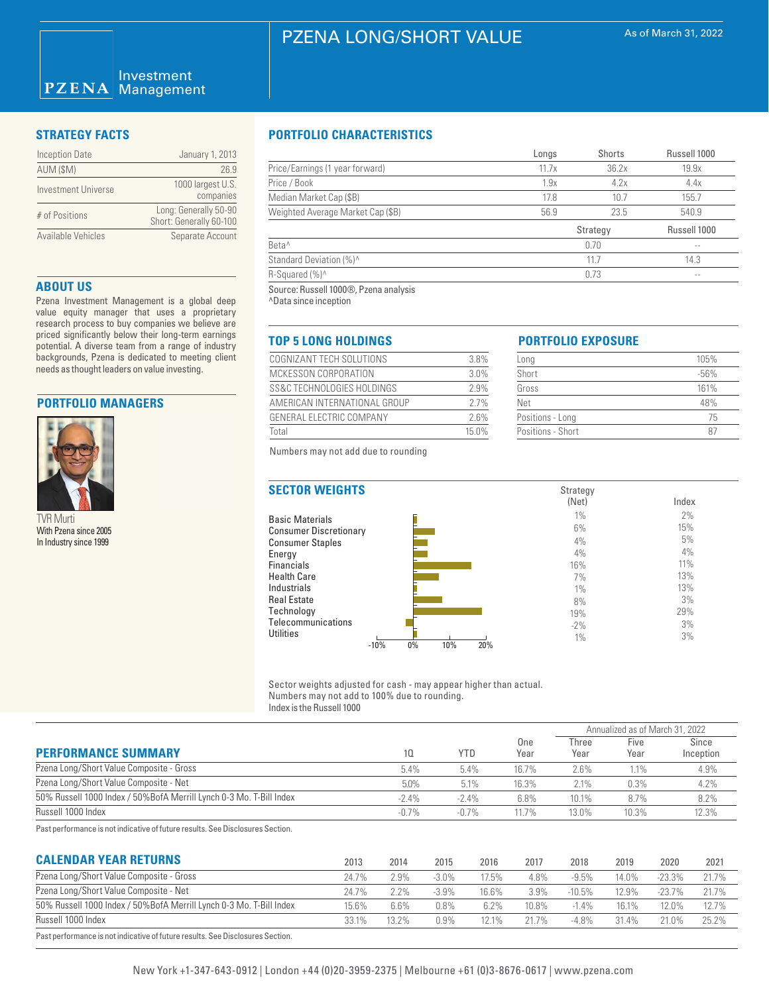### Investment  $PZENA$ Management

| <b>Inception Date</b> | January 1, 2013                                  |
|-----------------------|--------------------------------------------------|
| AUM (\$M)             | 26.9                                             |
| Investment Universe   | 1000 largest U.S.<br>companies                   |
| # of Positions        | Long: Generally 50-90<br>Short: Generally 60-100 |
| Available Vehicles    | Separate Account                                 |

# **ABOUT US**

Pzena Investment Management is a global deep value equity manager that uses a proprietary research process to buy companies we believe are priced significantly below their long-term earnings potential. A diverse team from a range of industry backgrounds, Pzena is dedicated to meeting client needs as thought leaders on value investing.

# **PORTFOLIO MANAGERS**



TVR Murti With Pzena since 2005 In Industry since 1999

# **STRATEGY FACTS PORTFOLIO CHARACTERISTICS**

|                                   | Longs | Shorts   | Russell 1000  |
|-----------------------------------|-------|----------|---------------|
| Price/Earnings (1 year forward)   | 11.7x | 36.2x    | 19.9x         |
| Price / Book                      | 1.9x  | 4.2x     | 4.4x          |
| Median Market Cap (\$B)           | 17.8  | 10.7     | 155.7         |
| Weighted Average Market Cap (\$B) | 56.9  | 23.5     | 540.9         |
|                                   |       | Strategy | Russell 1000  |
| Beta <sup>^</sup>                 |       | 0.70     | $- -$         |
| Standard Deviation (%)^           |       | 11.7     | 14.3          |
| R-Squared (%)^                    |       | 0.73     | $\sim$ $\sim$ |
|                                   |       |          |               |

Source: Russell 1000®, Pzena analysis ^Data since inception

# **TOP 5 LONG HOLDINGS PORTFOLIO EXPOSURE**

| COGNIZANT TECH SOLUTIONS     | 3.8%  |
|------------------------------|-------|
| MCKESSON CORPORATION         | 3.0%  |
| SS&C TECHNOLOGIES HOLDINGS   | 2.9%  |
| AMERICAN INTERNATIONAL GROUP | 27%   |
| GENERAL ELECTRIC COMPANY     | 26%   |
| Total                        | 15.0% |

Strategy

| Long              | 105%   |
|-------------------|--------|
| Short             | $-56%$ |
| Gross             | 161%   |
| Net               | 48%    |
| Positions - Long  | 75     |
| Positions - Short |        |

Numbers may not add due to rounding

# **SECTOR WEIGHTS**

|                               | (Net) | Index |
|-------------------------------|-------|-------|
| <b>Basic Materials</b>        | 1%    | 2%    |
| <b>Consumer Discretionary</b> | 6%    | 15%   |
| <b>Consumer Staples</b>       | 4%    | 5%    |
| Energy                        | 4%    | 4%    |
| <b>Financials</b>             | 16%   | 11%   |
| <b>Health Care</b>            | 7%    | 13%   |
| Industrials                   | 1%    | 13%   |
| <b>Real Estate</b>            | 8%    | 3%    |
| Technology                    | 19%   | 29%   |
| Telecommunications            | $-2%$ | 3%    |
| <b>Utilities</b>              | 1%    | 3%    |
| $0\%$<br>$-10%$<br>10%<br>20% |       |       |

Sector weights adjusted for cash - may appear higher than actual. Numbers may not add to 100% due to rounding. Index is the Russell 1000

|                                                                      |          |            |             |               | Annualized as of March 31, 2022 |                    |
|----------------------------------------------------------------------|----------|------------|-------------|---------------|---------------------------------|--------------------|
| <b>PERFORMANCE SUMMARY</b>                                           | 10       | <b>YTD</b> | One<br>Year | Three<br>Year | Five<br>Year                    | Since<br>Inception |
| Pzena Long/Short Value Composite - Gross                             | 5.4%     | 5.4%       | 16.7%       | 2.6%          | 1.1%                            | 4.9%               |
| Pzena Long/Short Value Composite - Net                               | $5.0\%$  | 5.1%       | 16.3%       | 2.1%          | 0.3%                            | 4.2%               |
| 50% Russell 1000 Index / 50% BofA Merrill Lynch 0-3 Mo. T-Bill Index | $-2.4\%$ | $-2.4\%$   | 6.8%        | 10.1%         | 8.7%                            | 8.2%               |
| Russell 1000 Index                                                   | $-0.7%$  | $-0.7\%$   | $11.7\%$    | 13.0%         | 10.3%                           | 12.3%              |

Past performance is not indicative of future results. See Disclosures Section.

| <b>CALENDAR YEAR RETURNS</b>                                                   | 2013  | 2014  | 2015     | 2016  | 2017  | 2018     | 2019  | 2020     | 2021  |
|--------------------------------------------------------------------------------|-------|-------|----------|-------|-------|----------|-------|----------|-------|
| Pzena Long/Short Value Composite - Gross                                       | 24.7% | 2.9%  | $-3.0\%$ | 17.5% | 4.8%  | $-9.5%$  | 14.0% | $-23.3%$ | 21.7% |
| Pzena Long/Short Value Composite - Net                                         | 24.7% | 2.2%  | $-3.9\%$ | 16.6% | 3.9%  | $-10.5%$ | 12.9% | $-23.7%$ | 21.7% |
| 50% Russell 1000 Index / 50% BofA Merrill Lynch 0-3 Mo. T-Bill Index           | 15.6% | 6.6%  | $0.8\%$  | 6.2%  | 10.8% | $-1.4\%$ | 16.1% | 12.0%    | 12.7% |
| Russell 1000 Index                                                             | 33.1% | 13.2% | 0.9%     | 12.1% | 21.7% | $-4.8%$  | 31.4% | 21.0%    | 25.2% |
| Past performance is not indicative of future results. See Disclosures Section. |       |       |          |       |       |          |       |          |       |